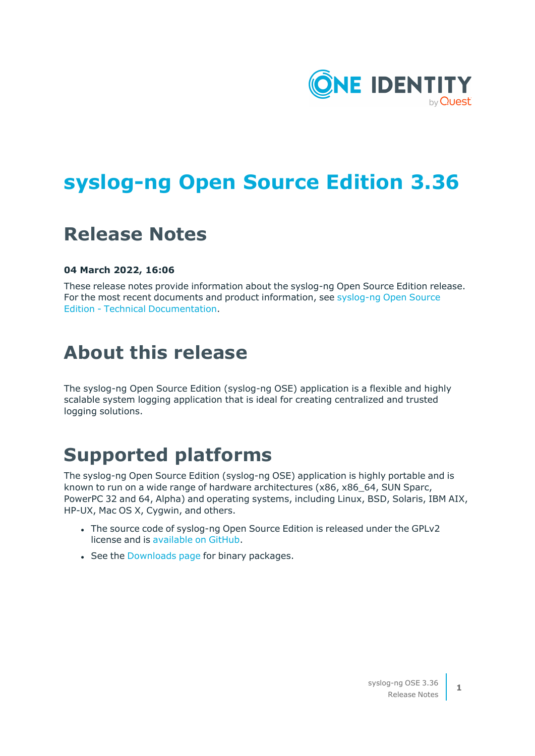

# **syslog-ng Open Source Edition 3.36**

# **Release Notes**

#### **04 March 2022, 16:06**

These release notes provide information about the syslog-ng Open Source Edition release. For the most recent documents and product information, see [syslog-ng](https://support.oneidentity.com/syslog-ng-open-source-edition/technical-documents) Open Source Edition - Technical [Documentation](https://support.oneidentity.com/syslog-ng-open-source-edition/technical-documents).

# **About this release**

The syslog-ng Open Source Edition (syslog-ng OSE) application is a flexible and highly scalable system logging application that is ideal for creating centralized and trusted logging solutions.

## **Supported platforms**

The syslog-ng Open Source Edition (syslog-ng OSE) application is highly portable and is known to run on a wide range of hardware architectures (x86, x86\_64, SUN Sparc, PowerPC 32 and 64, Alpha) and operating systems, including Linux, BSD, Solaris, IBM AIX, HP-UX, Mac OS X, Cygwin, and others.

- The source code of syslog-ng Open Source Edition is released under the GPLv2 license and is [available](https://github.com/syslog-ng/syslog-ng) on GitHub.
- See the [Downloads](https://www.syslog-ng.com/products/open-source-log-management/3rd-party-binaries.aspx) page for binary packages.

**1**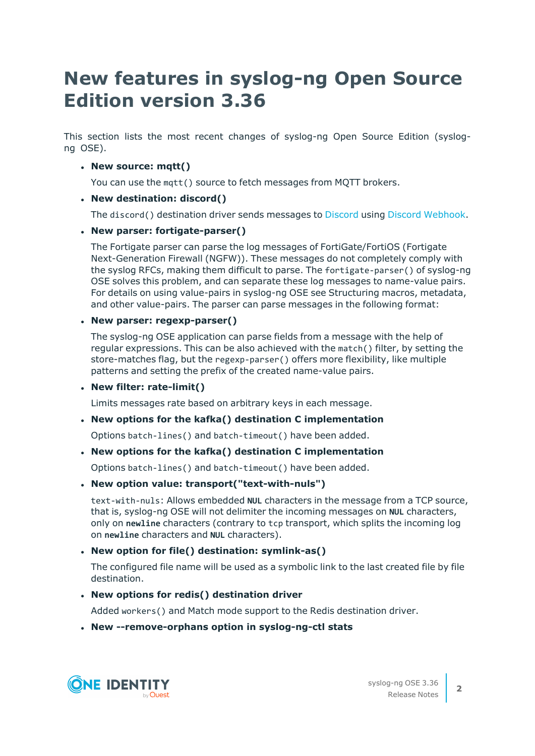# **New features in syslog-ng Open Source Edition version 3.36**

This section lists the most recent changes of syslog-ng Open Source Edition (syslogng OSE).

#### <sup>l</sup> **New source: mqtt()**

You can use the mqtt() source to fetch messages from MQTT brokers.

#### <sup>l</sup> **New destination: discord()**

The discord() destination driver sends messages to [Discord](https://discord.com/) using Discord [Webhook](https://discord.com/developers/docs/resources/webhook).

#### <sup>l</sup> **New parser: fortigate-parser()**

The Fortigate parser can parse the log messages of FortiGate/FortiOS (Fortigate Next-Generation Firewall (NGFW)). These messages do not completely comply with the syslog RFCs, making them difficult to parse. The fortigate-parser() of syslog-ng OSE solves this problem, and can separate these log messages to name-value pairs. For details on using value-pairs in syslog-ng OSE see Structuring macros, metadata, and other value-pairs. The parser can parse messages in the following format:

#### <sup>l</sup> **New parser: regexp-parser()**

The syslog-ng OSE application can parse fields from a message with the help of regular expressions. This can be also achieved with the match() filter, by setting the store-matches flag, but the regexp-parser() offers more flexibility, like multiple patterns and setting the prefix of the created name-value pairs.

#### <sup>l</sup> **New filter: rate-limit()**

Limits messages rate based on arbitrary keys in each message.

#### <sup>l</sup> **New options for the kafka() destination C implementation**

Options batch-lines() and batch-timeout() have been added.

#### <sup>l</sup> **New options for the kafka() destination C implementation**

Options batch-lines() and batch-timeout() have been added.

#### <sup>l</sup> **New option value: transport("text-with-nuls")**

text-with-nuls: Allows embedded **NUL** characters in the message from a TCP source, that is, syslog-ng OSE will not delimiter the incoming messages on **NUL** characters, only on **newline** characters (contrary to tcp transport, which splits the incoming log on **newline** characters and **NUL** characters).

#### <sup>l</sup> **New option for file() destination: symlink-as()**

The configured file name will be used as a symbolic link to the last created file by file destination.

#### <sup>l</sup> **New options for redis() destination driver**

Added workers() and Match mode support to the Redis destination driver.

#### <sup>l</sup> **New --remove-orphans option in syslog-ng-ctl stats**

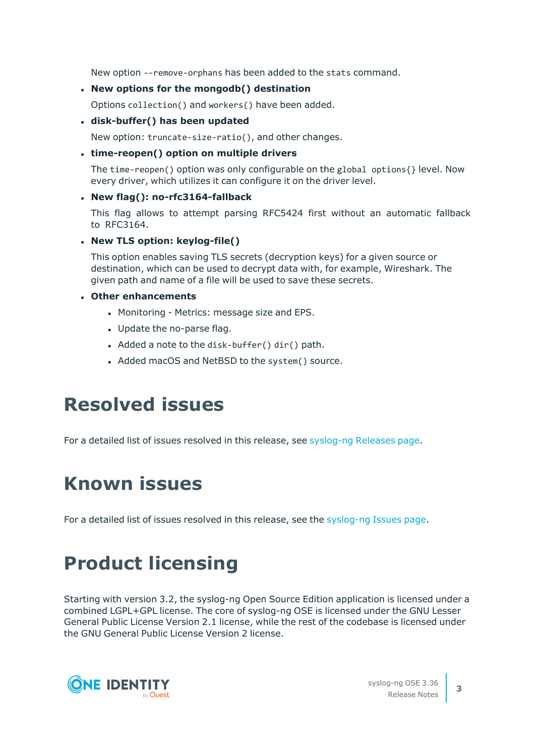New option --remove-orphans has been added to the stats command.

#### <sup>l</sup> **New options for the mongodb() destination**

Options collection() and workers() have been added.

#### <sup>l</sup> **disk-buffer() has been updated**

New option: truncate-size-ratio(), and other changes.

#### <sup>l</sup> **time-reopen() option on multiple drivers**

The time-reopen() option was only configurable on the global options{} level. Now every driver, which utilizes it can configure it on the driver level.

#### <sup>l</sup> **New flag(): no-rfc3164-fallback**

This flag allows to attempt parsing RFC5424 first without an automatic fallback to RFC3164.

#### <sup>l</sup> **New TLS option: keylog-file()**

This option enables saving TLS secrets (decryption keys) for a given source or destination, which can be used to decrypt data with, for example, Wireshark. The given path and name of a file will be used to save these secrets.

#### <sup>l</sup> **Other enhancements**

- Monitoring Metrics: message size and EPS.
- Update the no-parse flag.
- Added a note to the disk-buffer() dir() path.
- Added macOS and NetBSD to the system() source.

## **Resolved issues**

For a detailed list of issues resolved in this release, see [syslog-ng](https://github.com/syslog-ng/syslog-ng/releases) Releases page.

# **Known issues**

For a detailed list of issues resolved in this release, see the [syslog-ng](https://github.com/syslog-ng/syslog-ng/issues) Issues page.

# **Product licensing**

Starting with version 3.2, the syslog-ng Open Source Edition application is licensed under a combined LGPL+GPL license. The core of syslog-ng OSE is licensed under the GNU Lesser General Public License Version 2.1 license, while the rest of the codebase is licensed under the GNU General Public License Version 2 license.

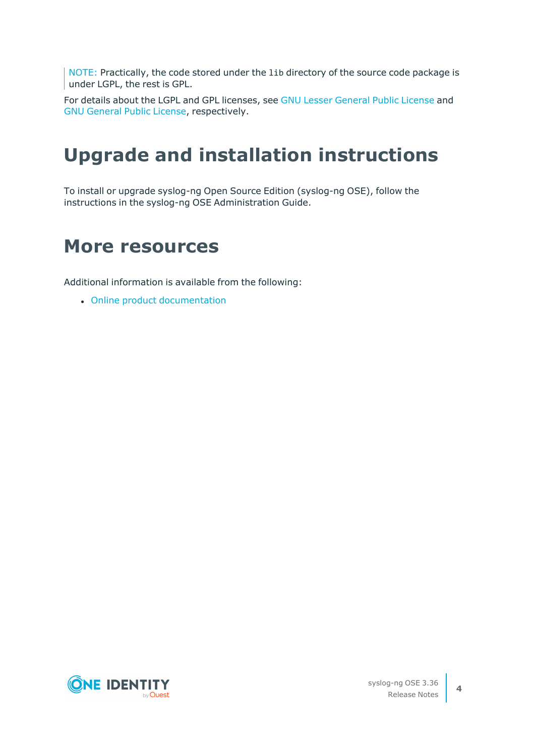NOTE: Practically, the code stored under the lib directory of the source code package is under LGPL, the rest is GPL.

For details about the LGPL and GPL licenses, see GNU Lesser [General](#page-11-0) Public License and GNU [General](#page-5-0) Public License, respectively.

# **Upgrade and installation instructions**

To install or upgrade syslog-ng Open Source Edition (syslog-ng OSE), follow the instructions in the syslog-ng OSE Administration Guide.

## **More resources**

Additional information is available from the following:

• Online product [documentation](https://syslog-ng.com/)

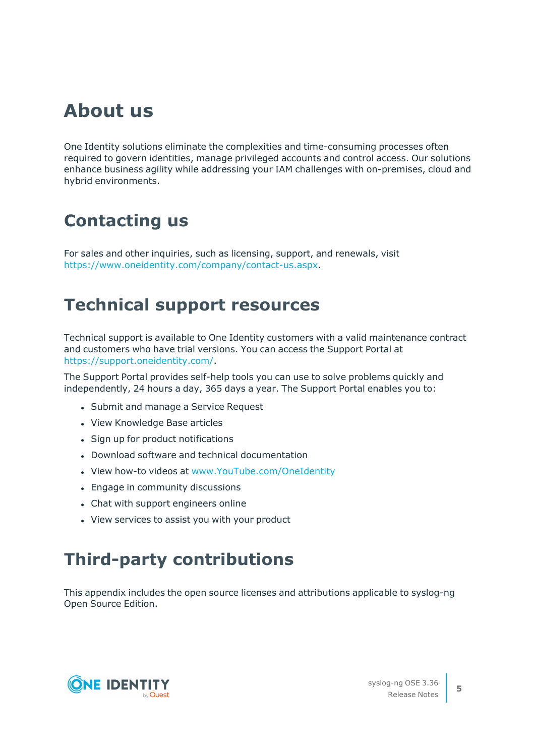## **About us**

One Identity solutions eliminate the complexities and time-consuming processes often required to govern identities, manage privileged accounts and control access. Our solutions enhance business agility while addressing your IAM challenges with on-premises, cloud and hybrid environments.

## **Contacting us**

For sales and other inquiries, such as licensing, support, and renewals, visit [https://www.oneidentity.com/company/contact-us.aspx.](https://www.oneidentity.com/company/contact-us.aspx)

## **Technical support resources**

Technical support is available to One Identity customers with a valid maintenance contract and customers who have trial versions. You can access the Support Portal at [https://support.oneidentity.com/.](https://support.oneidentity.com/)

The Support Portal provides self-help tools you can use to solve problems quickly and independently, 24 hours a day, 365 days a year. The Support Portal enables you to:

- Submit and manage a Service Request
- View Knowledge Base articles
- Sign up for product notifications
- Download software and technical documentation
- View how-to videos at [www.YouTube.com/OneIdentity](http://www.youtube.com/OneIdentity)
- Engage in community discussions
- Chat with support engineers online
- View services to assist you with your product

## **Third-party contributions**

This appendix includes the open source licenses and attributions applicable to syslog-ng Open Source Edition.

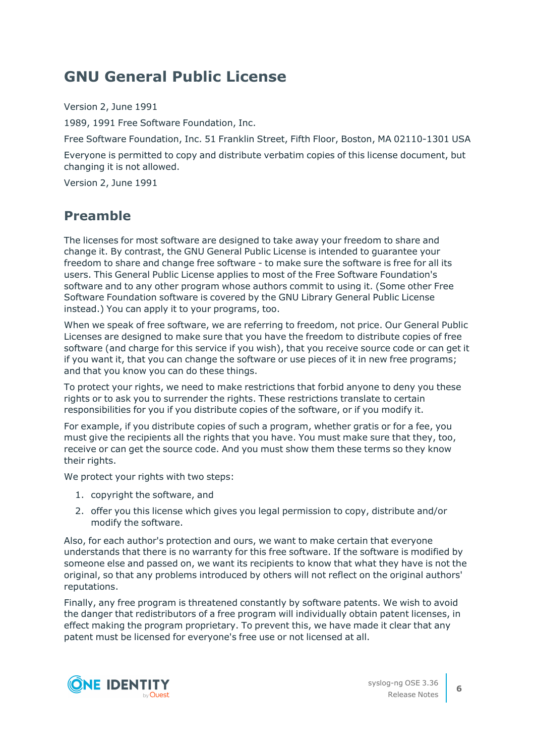## <span id="page-5-0"></span>**GNU General Public License**

Version 2, June 1991

1989, 1991 Free Software Foundation, Inc.

Free Software Foundation, Inc. 51 Franklin Street, Fifth Floor, Boston, MA 02110-1301 USA

Everyone is permitted to copy and distribute verbatim copies of this license document, but changing it is not allowed.

Version 2, June 1991

### **Preamble**

The licenses for most software are designed to take away your freedom to share and change it. By contrast, the GNU General Public License is intended to guarantee your freedom to share and change free software - to make sure the software is free for all its users. This General Public License applies to most of the Free Software Foundation's software and to any other program whose authors commit to using it. (Some other Free Software Foundation software is covered by the GNU Library General Public License instead.) You can apply it to your programs, too.

When we speak of free software, we are referring to freedom, not price. Our General Public Licenses are designed to make sure that you have the freedom to distribute copies of free software (and charge for this service if you wish), that you receive source code or can get it if you want it, that you can change the software or use pieces of it in new free programs; and that you know you can do these things.

To protect your rights, we need to make restrictions that forbid anyone to deny you these rights or to ask you to surrender the rights. These restrictions translate to certain responsibilities for you if you distribute copies of the software, or if you modify it.

For example, if you distribute copies of such a program, whether gratis or for a fee, you must give the recipients all the rights that you have. You must make sure that they, too, receive or can get the source code. And you must show them these terms so they know their rights.

We protect your rights with two steps:

- 1. copyright the software, and
- 2. offer you this license which gives you legal permission to copy, distribute and/or modify the software.

Also, for each author's protection and ours, we want to make certain that everyone understands that there is no warranty for this free software. If the software is modified by someone else and passed on, we want its recipients to know that what they have is not the original, so that any problems introduced by others will not reflect on the original authors' reputations.

Finally, any free program is threatened constantly by software patents. We wish to avoid the danger that redistributors of a free program will individually obtain patent licenses, in effect making the program proprietary. To prevent this, we have made it clear that any patent must be licensed for everyone's free use or not licensed at all.



**6**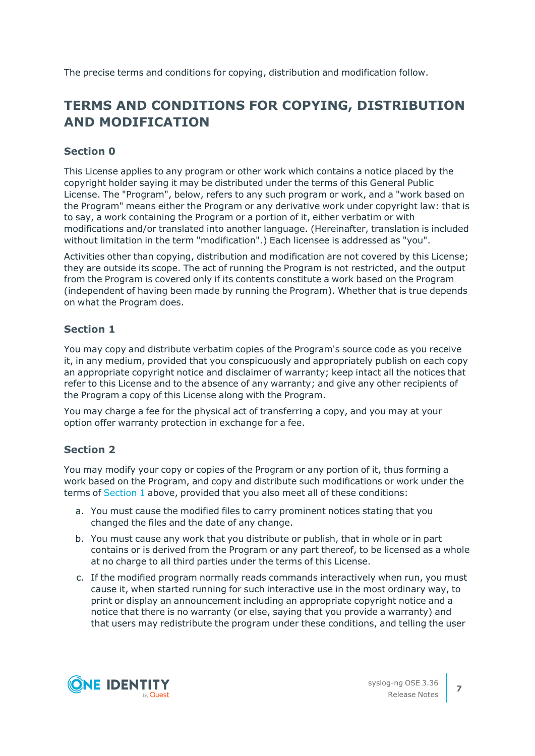The precise terms and conditions for copying, distribution and modification follow.

### **TERMS AND CONDITIONS FOR COPYING, DISTRIBUTION AND MODIFICATION**

### **Section 0**

This License applies to any program or other work which contains a notice placed by the copyright holder saying it may be distributed under the terms of this General Public License. The "Program", below, refers to any such program or work, and a "work based on the Program" means either the Program or any derivative work under copyright law: that is to say, a work containing the Program or a portion of it, either verbatim or with modifications and/or translated into another language. (Hereinafter, translation is included without limitation in the term "modification".) Each licensee is addressed as "you".

Activities other than copying, distribution and modification are not covered by this License; they are outside its scope. The act of running the Program is not restricted, and the output from the Program is covered only if its contents constitute a work based on the Program (independent of having been made by running the Program). Whether that is true depends on what the Program does.

### <span id="page-6-0"></span>**Section 1**

You may copy and distribute verbatim copies of the Program's source code as you receive it, in any medium, provided that you conspicuously and appropriately publish on each copy an appropriate copyright notice and disclaimer of warranty; keep intact all the notices that refer to this License and to the absence of any warranty; and give any other recipients of the Program a copy of this License along with the Program.

You may charge a fee for the physical act of transferring a copy, and you may at your option offer warranty protection in exchange for a fee.

### <span id="page-6-1"></span>**Section 2**

You may modify your copy or copies of the Program or any portion of it, thus forming a work based on the Program, and copy and distribute such modifications or work under the terms of [Section](#page-6-0) 1 above, provided that you also meet all of these conditions:

- a. You must cause the modified files to carry prominent notices stating that you changed the files and the date of any change.
- b. You must cause any work that you distribute or publish, that in whole or in part contains or is derived from the Program or any part thereof, to be licensed as a whole at no charge to all third parties under the terms of this License.
- c. If the modified program normally reads commands interactively when run, you must cause it, when started running for such interactive use in the most ordinary way, to print or display an announcement including an appropriate copyright notice and a notice that there is no warranty (or else, saying that you provide a warranty) and that users may redistribute the program under these conditions, and telling the user

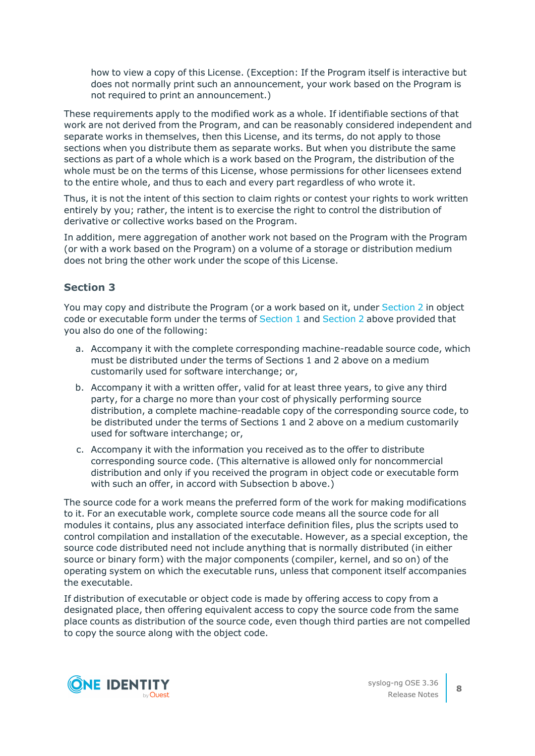how to view a copy of this License. (Exception: If the Program itself is interactive but does not normally print such an announcement, your work based on the Program is not required to print an announcement.)

These requirements apply to the modified work as a whole. If identifiable sections of that work are not derived from the Program, and can be reasonably considered independent and separate works in themselves, then this License, and its terms, do not apply to those sections when you distribute them as separate works. But when you distribute the same sections as part of a whole which is a work based on the Program, the distribution of the whole must be on the terms of this License, whose permissions for other licensees extend to the entire whole, and thus to each and every part regardless of who wrote it.

Thus, it is not the intent of this section to claim rights or contest your rights to work written entirely by you; rather, the intent is to exercise the right to control the distribution of derivative or collective works based on the Program.

In addition, mere aggregation of another work not based on the Program with the Program (or with a work based on the Program) on a volume of a storage or distribution medium does not bring the other work under the scope of this License.

#### **Section 3**

You may copy and distribute the Program (or a work based on it, under [Section](#page-6-1) 2 in object code or executable form under the terms of [Section](#page-6-1) 1 and Section 2 above provided that you also do one of the following:

- a. Accompany it with the complete corresponding machine-readable source code, which must be distributed under the terms of Sections 1 and 2 above on a medium customarily used for software interchange; or,
- b. Accompany it with a written offer, valid for at least three years, to give any third party, for a charge no more than your cost of physically performing source distribution, a complete machine-readable copy of the corresponding source code, to be distributed under the terms of Sections 1 and 2 above on a medium customarily used for software interchange; or,
- c. Accompany it with the information you received as to the offer to distribute corresponding source code. (This alternative is allowed only for noncommercial distribution and only if you received the program in object code or executable form with such an offer, in accord with Subsection b above.)

The source code for a work means the preferred form of the work for making modifications to it. For an executable work, complete source code means all the source code for all modules it contains, plus any associated interface definition files, plus the scripts used to control compilation and installation of the executable. However, as a special exception, the source code distributed need not include anything that is normally distributed (in either source or binary form) with the major components (compiler, kernel, and so on) of the operating system on which the executable runs, unless that component itself accompanies the executable.

If distribution of executable or object code is made by offering access to copy from a designated place, then offering equivalent access to copy the source code from the same place counts as distribution of the source code, even though third parties are not compelled to copy the source along with the object code.

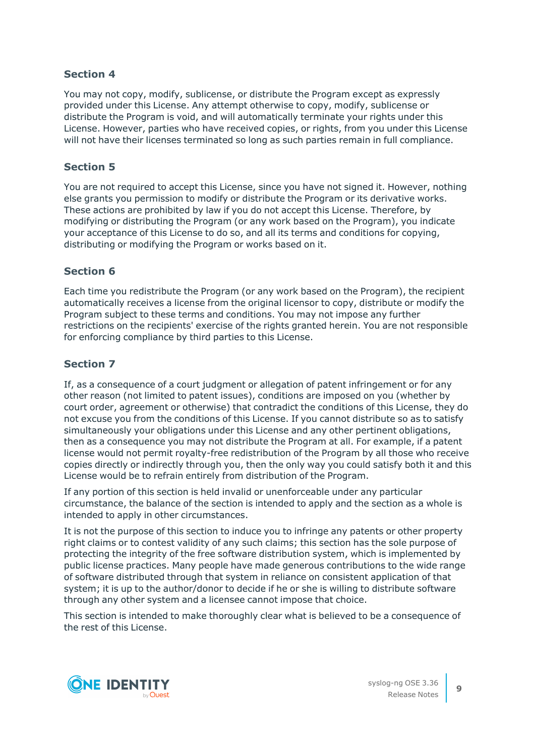You may not copy, modify, sublicense, or distribute the Program except as expressly provided under this License. Any attempt otherwise to copy, modify, sublicense or distribute the Program is void, and will automatically terminate your rights under this License. However, parties who have received copies, or rights, from you under this License will not have their licenses terminated so long as such parties remain in full compliance.

#### **Section 5**

You are not required to accept this License, since you have not signed it. However, nothing else grants you permission to modify or distribute the Program or its derivative works. These actions are prohibited by law if you do not accept this License. Therefore, by modifying or distributing the Program (or any work based on the Program), you indicate your acceptance of this License to do so, and all its terms and conditions for copying, distributing or modifying the Program or works based on it.

#### **Section 6**

Each time you redistribute the Program (or any work based on the Program), the recipient automatically receives a license from the original licensor to copy, distribute or modify the Program subject to these terms and conditions. You may not impose any further restrictions on the recipients' exercise of the rights granted herein. You are not responsible for enforcing compliance by third parties to this License.

#### **Section 7**

If, as a consequence of a court judgment or allegation of patent infringement or for any other reason (not limited to patent issues), conditions are imposed on you (whether by court order, agreement or otherwise) that contradict the conditions of this License, they do not excuse you from the conditions of this License. If you cannot distribute so as to satisfy simultaneously your obligations under this License and any other pertinent obligations, then as a consequence you may not distribute the Program at all. For example, if a patent license would not permit royalty-free redistribution of the Program by all those who receive copies directly or indirectly through you, then the only way you could satisfy both it and this License would be to refrain entirely from distribution of the Program.

If any portion of this section is held invalid or unenforceable under any particular circumstance, the balance of the section is intended to apply and the section as a whole is intended to apply in other circumstances.

It is not the purpose of this section to induce you to infringe any patents or other property right claims or to contest validity of any such claims; this section has the sole purpose of protecting the integrity of the free software distribution system, which is implemented by public license practices. Many people have made generous contributions to the wide range of software distributed through that system in reliance on consistent application of that system; it is up to the author/donor to decide if he or she is willing to distribute software through any other system and a licensee cannot impose that choice.

This section is intended to make thoroughly clear what is believed to be a consequence of the rest of this License.

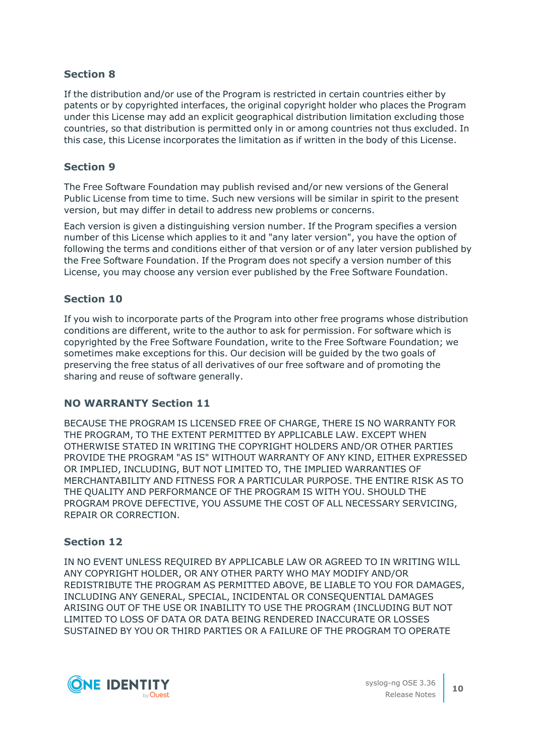If the distribution and/or use of the Program is restricted in certain countries either by patents or by copyrighted interfaces, the original copyright holder who places the Program under this License may add an explicit geographical distribution limitation excluding those countries, so that distribution is permitted only in or among countries not thus excluded. In this case, this License incorporates the limitation as if written in the body of this License.

#### **Section 9**

The Free Software Foundation may publish revised and/or new versions of the General Public License from time to time. Such new versions will be similar in spirit to the present version, but may differ in detail to address new problems or concerns.

Each version is given a distinguishing version number. If the Program specifies a version number of this License which applies to it and "any later version", you have the option of following the terms and conditions either of that version or of any later version published by the Free Software Foundation. If the Program does not specify a version number of this License, you may choose any version ever published by the Free Software Foundation.

#### **Section 10**

If you wish to incorporate parts of the Program into other free programs whose distribution conditions are different, write to the author to ask for permission. For software which is copyrighted by the Free Software Foundation, write to the Free Software Foundation; we sometimes make exceptions for this. Our decision will be guided by the two goals of preserving the free status of all derivatives of our free software and of promoting the sharing and reuse of software generally.

### **NO WARRANTY Section 11**

BECAUSE THE PROGRAM IS LICENSED FREE OF CHARGE, THERE IS NO WARRANTY FOR THE PROGRAM, TO THE EXTENT PERMITTED BY APPLICABLE LAW. EXCEPT WHEN OTHERWISE STATED IN WRITING THE COPYRIGHT HOLDERS AND/OR OTHER PARTIES PROVIDE THE PROGRAM "AS IS" WITHOUT WARRANTY OF ANY KIND, EITHER EXPRESSED OR IMPLIED, INCLUDING, BUT NOT LIMITED TO, THE IMPLIED WARRANTIES OF MERCHANTABILITY AND FITNESS FOR A PARTICULAR PURPOSE. THE ENTIRE RISK AS TO THE QUALITY AND PERFORMANCE OF THE PROGRAM IS WITH YOU. SHOULD THE PROGRAM PROVE DEFECTIVE, YOU ASSUME THE COST OF ALL NECESSARY SERVICING, REPAIR OR CORRECTION.

#### **Section 12**

IN NO EVENT UNLESS REQUIRED BY APPLICABLE LAW OR AGREED TO IN WRITING WILL ANY COPYRIGHT HOLDER, OR ANY OTHER PARTY WHO MAY MODIFY AND/OR REDISTRIBUTE THE PROGRAM AS PERMITTED ABOVE, BE LIABLE TO YOU FOR DAMAGES, INCLUDING ANY GENERAL, SPECIAL, INCIDENTAL OR CONSEQUENTIAL DAMAGES ARISING OUT OF THE USE OR INABILITY TO USE THE PROGRAM (INCLUDING BUT NOT LIMITED TO LOSS OF DATA OR DATA BEING RENDERED INACCURATE OR LOSSES SUSTAINED BY YOU OR THIRD PARTIES OR A FAILURE OF THE PROGRAM TO OPERATE

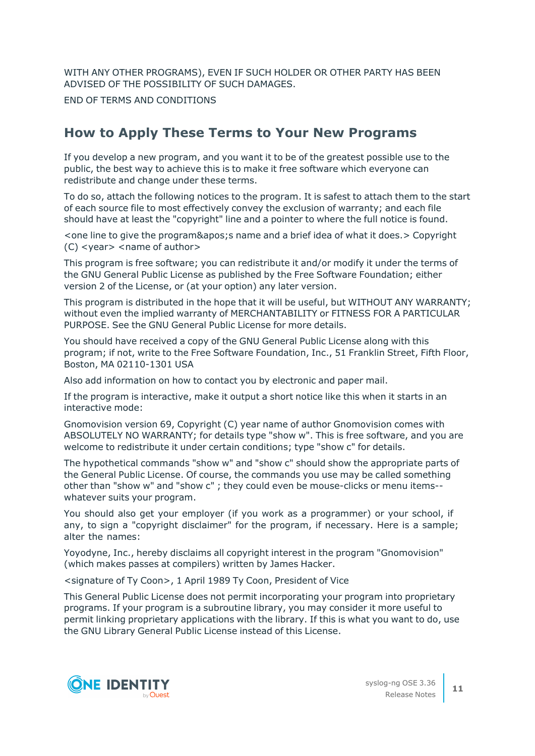WITH ANY OTHER PROGRAMS), EVEN IF SUCH HOLDER OR OTHER PARTY HAS BEEN ADVISED OF THE POSSIBILITY OF SUCH DAMAGES.

END OF TERMS AND CONDITIONS

### **How to Apply These Terms to Your New Programs**

If you develop a new program, and you want it to be of the greatest possible use to the public, the best way to achieve this is to make it free software which everyone can redistribute and change under these terms.

To do so, attach the following notices to the program. It is safest to attach them to the start of each source file to most effectively convey the exclusion of warranty; and each file should have at least the "copyright" line and a pointer to where the full notice is found.

<one line to give the program&apos; sname and a brief idea of what it does. > Copyright (C) <year> <name of author>

This program is free software; you can redistribute it and/or modify it under the terms of the GNU General Public License as published by the Free Software Foundation; either version 2 of the License, or (at your option) any later version.

This program is distributed in the hope that it will be useful, but WITHOUT ANY WARRANTY; without even the implied warranty of MERCHANTABILITY or FITNESS FOR A PARTICULAR PURPOSE. See the GNU General Public License for more details.

You should have received a copy of the GNU General Public License along with this program; if not, write to the Free Software Foundation, Inc., 51 Franklin Street, Fifth Floor, Boston, MA 02110-1301 USA

Also add information on how to contact you by electronic and paper mail.

If the program is interactive, make it output a short notice like this when it starts in an interactive mode:

Gnomovision version 69, Copyright (C) year name of author Gnomovision comes with ABSOLUTELY NO WARRANTY; for details type "show w". This is free software, and you are welcome to redistribute it under certain conditions; type "show c" for details.

The hypothetical commands "show w" and "show c" should show the appropriate parts of the General Public License. Of course, the commands you use may be called something other than "show w" and "show c" ; they could even be mouse-clicks or menu items- whatever suits your program.

You should also get your employer (if you work as a programmer) or your school, if any, to sign a "copyright disclaimer" for the program, if necessary. Here is a sample; alter the names:

Yoyodyne, Inc., hereby disclaims all copyright interest in the program "Gnomovision" (which makes passes at compilers) written by James Hacker.

<signature of Ty Coon>, 1 April 1989 Ty Coon, President of Vice

This General Public License does not permit incorporating your program into proprietary programs. If your program is a subroutine library, you may consider it more useful to permit linking proprietary applications with the library. If this is what you want to do, use the GNU Library General Public License instead of this License.

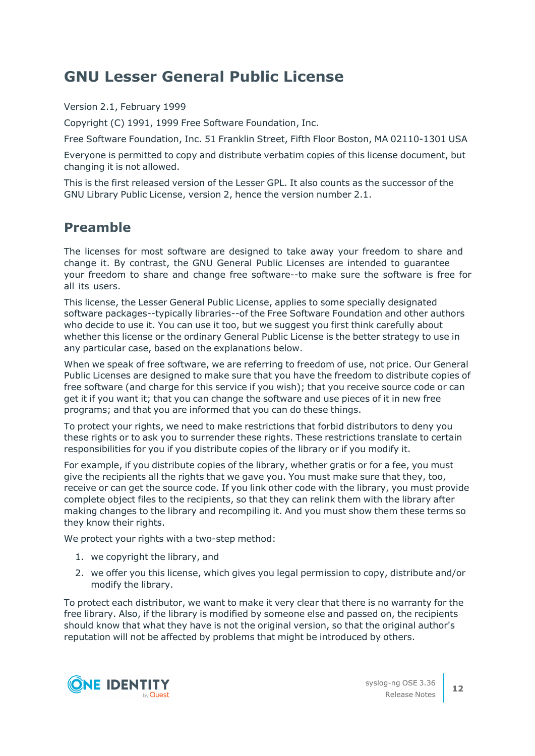### <span id="page-11-0"></span>**GNU Lesser General Public License**

Version 2.1, February 1999

Copyright (C) 1991, 1999 Free Software Foundation, Inc.

Free Software Foundation, Inc. 51 Franklin Street, Fifth Floor Boston, MA 02110-1301 USA

Everyone is permitted to copy and distribute verbatim copies of this license document, but changing it is not allowed.

This is the first released version of the Lesser GPL. It also counts as the successor of the GNU Library Public License, version 2, hence the version number 2.1.

### **Preamble**

The licenses for most software are designed to take away your freedom to share and change it. By contrast, the GNU General Public Licenses are intended to guarantee your freedom to share and change free software--to make sure the software is free for all its users.

This license, the Lesser General Public License, applies to some specially designated software packages--typically libraries--of the Free Software Foundation and other authors who decide to use it. You can use it too, but we suggest you first think carefully about whether this license or the ordinary General Public License is the better strategy to use in any particular case, based on the explanations below.

When we speak of free software, we are referring to freedom of use, not price. Our General Public Licenses are designed to make sure that you have the freedom to distribute copies of free software (and charge for this service if you wish); that you receive source code or can get it if you want it; that you can change the software and use pieces of it in new free programs; and that you are informed that you can do these things.

To protect your rights, we need to make restrictions that forbid distributors to deny you these rights or to ask you to surrender these rights. These restrictions translate to certain responsibilities for you if you distribute copies of the library or if you modify it.

For example, if you distribute copies of the library, whether gratis or for a fee, you must give the recipients all the rights that we gave you. You must make sure that they, too, receive or can get the source code. If you link other code with the library, you must provide complete object files to the recipients, so that they can relink them with the library after making changes to the library and recompiling it. And you must show them these terms so they know their rights.

We protect your rights with a two-step method:

- 1. we copyright the library, and
- 2. we offer you this license, which gives you legal permission to copy, distribute and/or modify the library.

To protect each distributor, we want to make it very clear that there is no warranty for the free library. Also, if the library is modified by someone else and passed on, the recipients should know that what they have is not the original version, so that the original author's reputation will not be affected by problems that might be introduced by others.

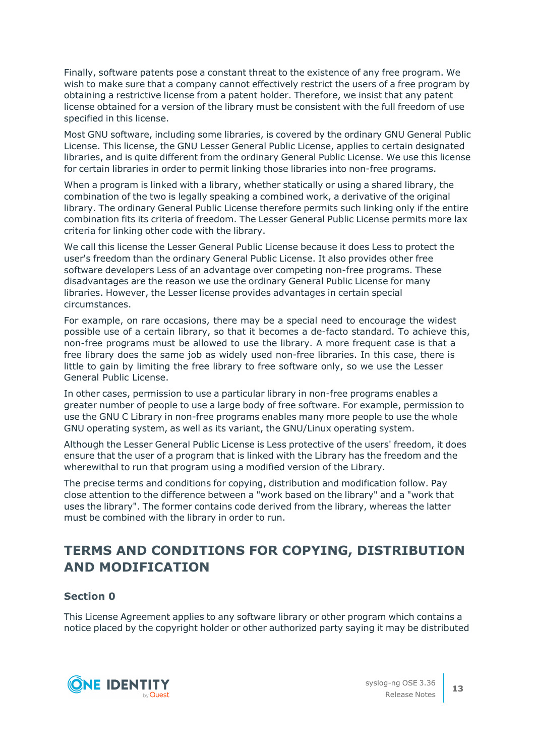Finally, software patents pose a constant threat to the existence of any free program. We wish to make sure that a company cannot effectively restrict the users of a free program by obtaining a restrictive license from a patent holder. Therefore, we insist that any patent license obtained for a version of the library must be consistent with the full freedom of use specified in this license.

Most GNU software, including some libraries, is covered by the ordinary GNU General Public License. This license, the GNU Lesser General Public License, applies to certain designated libraries, and is quite different from the ordinary General Public License. We use this license for certain libraries in order to permit linking those libraries into non-free programs.

When a program is linked with a library, whether statically or using a shared library, the combination of the two is legally speaking a combined work, a derivative of the original library. The ordinary General Public License therefore permits such linking only if the entire combination fits its criteria of freedom. The Lesser General Public License permits more lax criteria for linking other code with the library.

We call this license the Lesser General Public License because it does Less to protect the user's freedom than the ordinary General Public License. It also provides other free software developers Less of an advantage over competing non-free programs. These disadvantages are the reason we use the ordinary General Public License for many libraries. However, the Lesser license provides advantages in certain special circumstances.

For example, on rare occasions, there may be a special need to encourage the widest possible use of a certain library, so that it becomes a de-facto standard. To achieve this, non-free programs must be allowed to use the library. A more frequent case is that a free library does the same job as widely used non-free libraries. In this case, there is little to gain by limiting the free library to free software only, so we use the Lesser General Public License.

In other cases, permission to use a particular library in non-free programs enables a greater number of people to use a large body of free software. For example, permission to use the GNU C Library in non-free programs enables many more people to use the whole GNU operating system, as well as its variant, the GNU/Linux operating system.

Although the Lesser General Public License is Less protective of the users' freedom, it does ensure that the user of a program that is linked with the Library has the freedom and the wherewithal to run that program using a modified version of the Library.

The precise terms and conditions for copying, distribution and modification follow. Pay close attention to the difference between a "work based on the library" and a "work that uses the library". The former contains code derived from the library, whereas the latter must be combined with the library in order to run.

### **TERMS AND CONDITIONS FOR COPYING, DISTRIBUTION AND MODIFICATION**

#### **Section 0**

This License Agreement applies to any software library or other program which contains a notice placed by the copyright holder or other authorized party saying it may be distributed

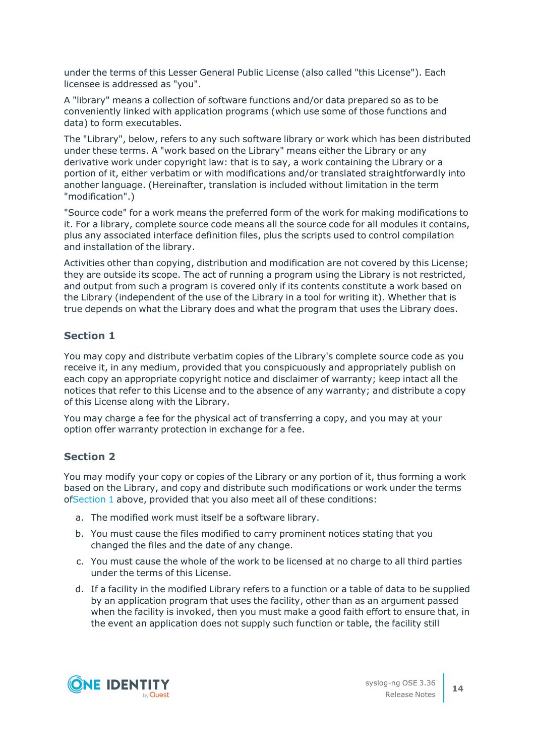under the terms of this Lesser General Public License (also called "this License"). Each licensee is addressed as "you".

A "library" means a collection of software functions and/or data prepared so as to be conveniently linked with application programs (which use some of those functions and data) to form executables.

The "Library", below, refers to any such software library or work which has been distributed under these terms. A "work based on the Library" means either the Library or any derivative work under copyright law: that is to say, a work containing the Library or a portion of it, either verbatim or with modifications and/or translated straightforwardly into another language. (Hereinafter, translation is included without limitation in the term "modification".)

"Source code" for a work means the preferred form of the work for making modifications to it. For a library, complete source code means all the source code for all modules it contains, plus any associated interface definition files, plus the scripts used to control compilation and installation of the library.

Activities other than copying, distribution and modification are not covered by this License; they are outside its scope. The act of running a program using the Library is not restricted, and output from such a program is covered only if its contents constitute a work based on the Library (independent of the use of the Library in a tool for writing it). Whether that is true depends on what the Library does and what the program that uses the Library does.

### <span id="page-13-0"></span>**Section 1**

You may copy and distribute verbatim copies of the Library's complete source code as you receive it, in any medium, provided that you conspicuously and appropriately publish on each copy an appropriate copyright notice and disclaimer of warranty; keep intact all the notices that refer to this License and to the absence of any warranty; and distribute a copy of this License along with the Library.

You may charge a fee for the physical act of transferring a copy, and you may at your option offer warranty protection in exchange for a fee.

#### <span id="page-13-2"></span>**Section 2**

You may modify your copy or copies of the Library or any portion of it, thus forming a work based on the Library, and copy and distribute such modifications or work under the terms of[Section](#page-13-0) 1 above, provided that you also meet all of these conditions:

- a. The modified work must itself be a software library.
- b. You must cause the files modified to carry prominent notices stating that you changed the files and the date of any change.
- c. You must cause the whole of the work to be licensed at no charge to all third parties under the terms of this License.
- <span id="page-13-1"></span>d. If a facility in the modified Library refers to a function or a table of data to be supplied by an application program that uses the facility, other than as an argument passed when the facility is invoked, then you must make a good faith effort to ensure that, in the event an application does not supply such function or table, the facility still

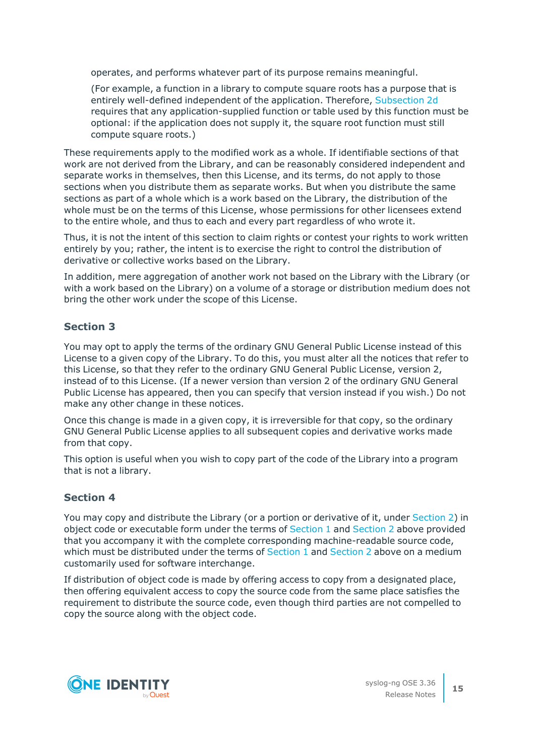operates, and performs whatever part of its purpose remains meaningful.

(For example, a function in a library to compute square roots has a purpose that is entirely well-defined independent of the application. Therefore, [Subsection](#page-13-1) 2d requires that any application-supplied function or table used by this function must be optional: if the application does not supply it, the square root function must still compute square roots.)

These requirements apply to the modified work as a whole. If identifiable sections of that work are not derived from the Library, and can be reasonably considered independent and separate works in themselves, then this License, and its terms, do not apply to those sections when you distribute them as separate works. But when you distribute the same sections as part of a whole which is a work based on the Library, the distribution of the whole must be on the terms of this License, whose permissions for other licensees extend to the entire whole, and thus to each and every part regardless of who wrote it.

Thus, it is not the intent of this section to claim rights or contest your rights to work written entirely by you; rather, the intent is to exercise the right to control the distribution of derivative or collective works based on the Library.

In addition, mere aggregation of another work not based on the Library with the Library (or with a work based on the Library) on a volume of a storage or distribution medium does not bring the other work under the scope of this License.

#### **Section 3**

You may opt to apply the terms of the ordinary GNU General Public License instead of this License to a given copy of the Library. To do this, you must alter all the notices that refer to this License, so that they refer to the ordinary GNU General Public License, version 2, instead of to this License. (If a newer version than version 2 of the ordinary GNU General Public License has appeared, then you can specify that version instead if you wish.) Do not make any other change in these notices.

Once this change is made in a given copy, it is irreversible for that copy, so the ordinary GNU General Public License applies to all subsequent copies and derivative works made from that copy.

This option is useful when you wish to copy part of the code of the Library into a program that is not a library.

#### **Section 4**

You may copy and distribute the Library (or a portion or derivative of it, under [Section](#page-13-2) 2) in object code or executable form under the terms of [Section](#page-13-0) 1 and [Section](#page-13-2) 2 above provided that you accompany it with the complete corresponding machine-readable source code, which must be distributed under the terms of [Section](#page-13-2) 1 and Section 2 above on a medium customarily used for software interchange.

If distribution of object code is made by offering access to copy from a designated place, then offering equivalent access to copy the source code from the same place satisfies the requirement to distribute the source code, even though third parties are not compelled to copy the source along with the object code.

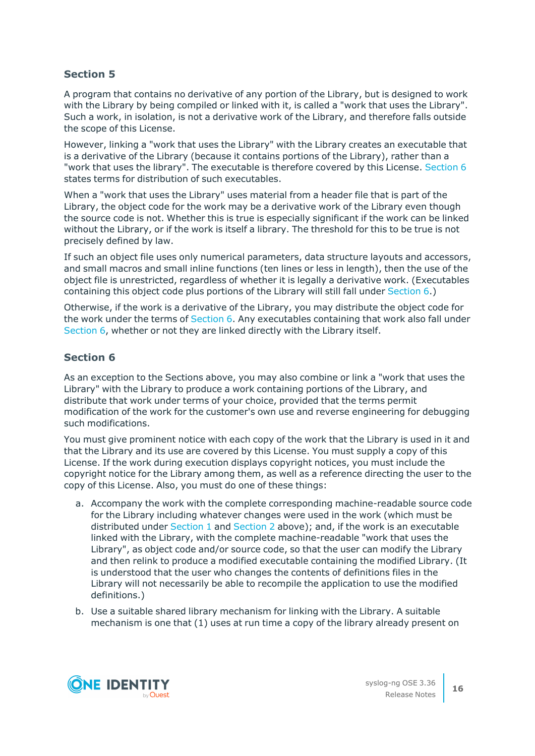A program that contains no derivative of any portion of the Library, but is designed to work with the Library by being compiled or linked with it, is called a "work that uses the Library". Such a work, in isolation, is not a derivative work of the Library, and therefore falls outside the scope of this License.

However, linking a "work that uses the Library" with the Library creates an executable that is a derivative of the Library (because it contains portions of the Library), rather than a "work that uses the library". The executable is therefore covered by this License. [Section](#page-15-0) 6 states terms for distribution of such executables.

When a "work that uses the Library" uses material from a header file that is part of the Library, the object code for the work may be a derivative work of the Library even though the source code is not. Whether this is true is especially significant if the work can be linked without the Library, or if the work is itself a library. The threshold for this to be true is not precisely defined by law.

If such an object file uses only numerical parameters, data structure layouts and accessors, and small macros and small inline functions (ten lines or less in length), then the use of the object file is unrestricted, regardless of whether it is legally a derivative work. (Executables containing this object code plus portions of the Library will still fall under [Section](#page-15-0) 6.)

Otherwise, if the work is a derivative of the Library, you may distribute the object code for the work under the terms of [Section](#page-15-0) 6. Any executables containing that work also fall under [Section](#page-15-0) 6, whether or not they are linked directly with the Library itself.

#### <span id="page-15-0"></span>**Section 6**

As an exception to the Sections above, you may also combine or link a "work that uses the Library" with the Library to produce a work containing portions of the Library, and distribute that work under terms of your choice, provided that the terms permit modification of the work for the customer's own use and reverse engineering for debugging such modifications.

You must give prominent notice with each copy of the work that the Library is used in it and that the Library and its use are covered by this License. You must supply a copy of this License. If the work during execution displays copyright notices, you must include the copyright notice for the Library among them, as well as a reference directing the user to the copy of this License. Also, you must do one of these things:

- <span id="page-15-1"></span>a. Accompany the work with the complete corresponding machine-readable source code for the Library including whatever changes were used in the work (which must be distributed under [Section](#page-13-0) 1 and [Section](#page-13-2) 2 above); and, if the work is an executable linked with the Library, with the complete machine-readable "work that uses the Library", as object code and/or source code, so that the user can modify the Library and then relink to produce a modified executable containing the modified Library. (It is understood that the user who changes the contents of definitions files in the Library will not necessarily be able to recompile the application to use the modified definitions.)
- b. Use a suitable shared library mechanism for linking with the Library. A suitable mechanism is one that (1) uses at run time a copy of the library already present on

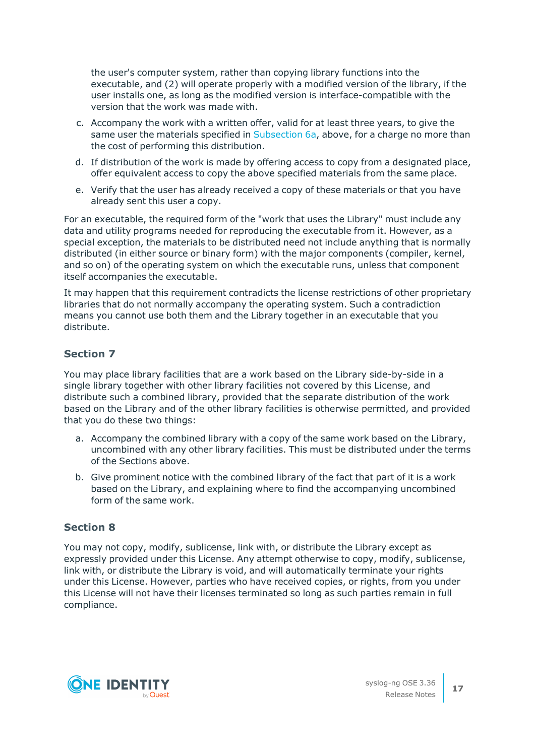the user's computer system, rather than copying library functions into the executable, and (2) will operate properly with a modified version of the library, if the user installs one, as long as the modified version is interface-compatible with the version that the work was made with.

- c. Accompany the work with a written offer, valid for at least three years, to give the same user the materials specified in [Subsection](#page-15-1) 6a, above, for a charge no more than the cost of performing this distribution.
- d. If distribution of the work is made by offering access to copy from a designated place, offer equivalent access to copy the above specified materials from the same place.
- e. Verify that the user has already received a copy of these materials or that you have already sent this user a copy.

For an executable, the required form of the "work that uses the Library" must include any data and utility programs needed for reproducing the executable from it. However, as a special exception, the materials to be distributed need not include anything that is normally distributed (in either source or binary form) with the major components (compiler, kernel, and so on) of the operating system on which the executable runs, unless that component itself accompanies the executable.

It may happen that this requirement contradicts the license restrictions of other proprietary libraries that do not normally accompany the operating system. Such a contradiction means you cannot use both them and the Library together in an executable that you distribute.

#### **Section 7**

You may place library facilities that are a work based on the Library side-by-side in a single library together with other library facilities not covered by this License, and distribute such a combined library, provided that the separate distribution of the work based on the Library and of the other library facilities is otherwise permitted, and provided that you do these two things:

- a. Accompany the combined library with a copy of the same work based on the Library, uncombined with any other library facilities. This must be distributed under the terms of the Sections above.
- b. Give prominent notice with the combined library of the fact that part of it is a work based on the Library, and explaining where to find the accompanying uncombined form of the same work.

#### **Section 8**

You may not copy, modify, sublicense, link with, or distribute the Library except as expressly provided under this License. Any attempt otherwise to copy, modify, sublicense, link with, or distribute the Library is void, and will automatically terminate your rights under this License. However, parties who have received copies, or rights, from you under this License will not have their licenses terminated so long as such parties remain in full compliance.

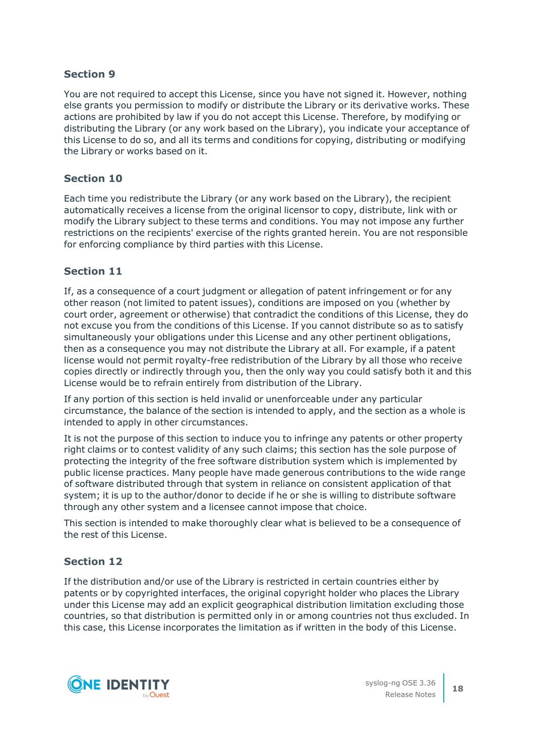You are not required to accept this License, since you have not signed it. However, nothing else grants you permission to modify or distribute the Library or its derivative works. These actions are prohibited by law if you do not accept this License. Therefore, by modifying or distributing the Library (or any work based on the Library), you indicate your acceptance of this License to do so, and all its terms and conditions for copying, distributing or modifying the Library or works based on it.

#### **Section 10**

Each time you redistribute the Library (or any work based on the Library), the recipient automatically receives a license from the original licensor to copy, distribute, link with or modify the Library subject to these terms and conditions. You may not impose any further restrictions on the recipients' exercise of the rights granted herein. You are not responsible for enforcing compliance by third parties with this License.

#### **Section 11**

If, as a consequence of a court judgment or allegation of patent infringement or for any other reason (not limited to patent issues), conditions are imposed on you (whether by court order, agreement or otherwise) that contradict the conditions of this License, they do not excuse you from the conditions of this License. If you cannot distribute so as to satisfy simultaneously your obligations under this License and any other pertinent obligations, then as a consequence you may not distribute the Library at all. For example, if a patent license would not permit royalty-free redistribution of the Library by all those who receive copies directly or indirectly through you, then the only way you could satisfy both it and this License would be to refrain entirely from distribution of the Library.

If any portion of this section is held invalid or unenforceable under any particular circumstance, the balance of the section is intended to apply, and the section as a whole is intended to apply in other circumstances.

It is not the purpose of this section to induce you to infringe any patents or other property right claims or to contest validity of any such claims; this section has the sole purpose of protecting the integrity of the free software distribution system which is implemented by public license practices. Many people have made generous contributions to the wide range of software distributed through that system in reliance on consistent application of that system; it is up to the author/donor to decide if he or she is willing to distribute software through any other system and a licensee cannot impose that choice.

This section is intended to make thoroughly clear what is believed to be a consequence of the rest of this License.

#### **Section 12**

If the distribution and/or use of the Library is restricted in certain countries either by patents or by copyrighted interfaces, the original copyright holder who places the Library under this License may add an explicit geographical distribution limitation excluding those countries, so that distribution is permitted only in or among countries not thus excluded. In this case, this License incorporates the limitation as if written in the body of this License.

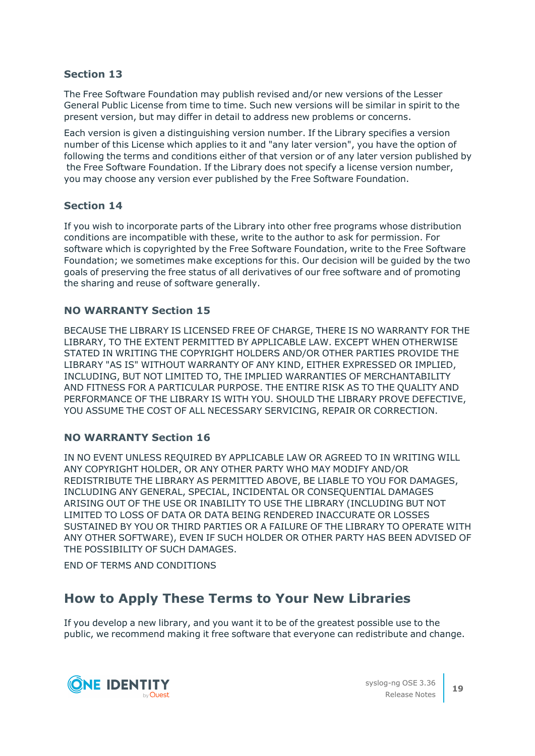The Free Software Foundation may publish revised and/or new versions of the Lesser General Public License from time to time. Such new versions will be similar in spirit to the present version, but may differ in detail to address new problems or concerns.

Each version is given a distinguishing version number. If the Library specifies a version number of this License which applies to it and "any later version", you have the option of following the terms and conditions either of that version or of any later version published by the Free Software Foundation. If the Library does not specify a license version number, you may choose any version ever published by the Free Software Foundation.

#### **Section 14**

If you wish to incorporate parts of the Library into other free programs whose distribution conditions are incompatible with these, write to the author to ask for permission. For software which is copyrighted by the Free Software Foundation, write to the Free Software Foundation; we sometimes make exceptions for this. Our decision will be guided by the two goals of preserving the free status of all derivatives of our free software and of promoting the sharing and reuse of software generally.

#### **NO WARRANTY Section 15**

BECAUSE THE LIBRARY IS LICENSED FREE OF CHARGE, THERE IS NO WARRANTY FOR THE LIBRARY, TO THE EXTENT PERMITTED BY APPLICABLE LAW. EXCEPT WHEN OTHERWISE STATED IN WRITING THE COPYRIGHT HOLDERS AND/OR OTHER PARTIES PROVIDE THE LIBRARY "AS IS" WITHOUT WARRANTY OF ANY KIND, EITHER EXPRESSED OR IMPLIED, INCLUDING, BUT NOT LIMITED TO, THE IMPLIED WARRANTIES OF MERCHANTABILITY AND FITNESS FOR A PARTICULAR PURPOSE. THE ENTIRE RISK AS TO THE QUALITY AND PERFORMANCE OF THE LIBRARY IS WITH YOU. SHOULD THE LIBRARY PROVE DEFECTIVE, YOU ASSUME THE COST OF ALL NECESSARY SERVICING, REPAIR OR CORRECTION.

#### **NO WARRANTY Section 16**

IN NO EVENT UNLESS REQUIRED BY APPLICABLE LAW OR AGREED TO IN WRITING WILL ANY COPYRIGHT HOLDER, OR ANY OTHER PARTY WHO MAY MODIFY AND/OR REDISTRIBUTE THE LIBRARY AS PERMITTED ABOVE, BE LIABLE TO YOU FOR DAMAGES, INCLUDING ANY GENERAL, SPECIAL, INCIDENTAL OR CONSEQUENTIAL DAMAGES ARISING OUT OF THE USE OR INABILITY TO USE THE LIBRARY (INCLUDING BUT NOT LIMITED TO LOSS OF DATA OR DATA BEING RENDERED INACCURATE OR LOSSES SUSTAINED BY YOU OR THIRD PARTIES OR A FAILURE OF THE LIBRARY TO OPERATE WITH ANY OTHER SOFTWARE), EVEN IF SUCH HOLDER OR OTHER PARTY HAS BEEN ADVISED OF THE POSSIBILITY OF SUCH DAMAGES.

END OF TERMS AND CONDITIONS

### **How to Apply These Terms to Your New Libraries**

If you develop a new library, and you want it to be of the greatest possible use to the public, we recommend making it free software that everyone can redistribute and change.

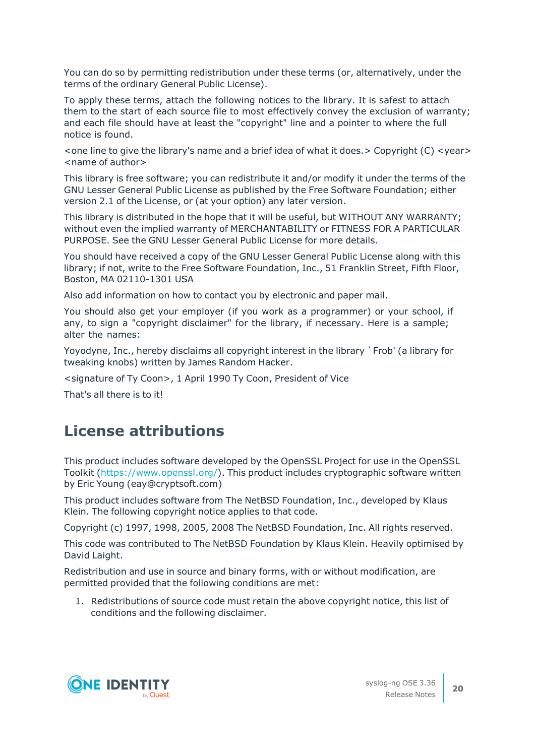You can do so by permitting redistribution under these terms (or, alternatively, under the terms of the ordinary General Public License).

To apply these terms, attach the following notices to the library. It is safest to attach them to the start of each source file to most effectively convey the exclusion of warranty; and each file should have at least the "copyright" line and a pointer to where the full notice is found.

 $\le$  one line to give the library's name and a brief idea of what it does.  $>$  Copyright (C)  $\le$  year $>$ <name of author>

This library is free software; you can redistribute it and/or modify it under the terms of the GNU Lesser General Public License as published by the Free Software Foundation; either version 2.1 of the License, or (at your option) any later version.

This library is distributed in the hope that it will be useful, but WITHOUT ANY WARRANTY; without even the implied warranty of MERCHANTABILITY or FITNESS FOR A PARTICULAR PURPOSE. See the GNU Lesser General Public License for more details.

You should have received a copy of the GNU Lesser General Public License along with this library; if not, write to the Free Software Foundation, Inc., 51 Franklin Street, Fifth Floor, Boston, MA 02110-1301 USA

Also add information on how to contact you by electronic and paper mail.

You should also get your employer (if you work as a programmer) or your school, if any, to sign a "copyright disclaimer" for the library, if necessary. Here is a sample; alter the names:

Yoyodyne, Inc., hereby disclaims all copyright interest in the library `Frob' (a library for tweaking knobs) written by James Random Hacker.

<signature of Ty Coon>, 1 April 1990 Ty Coon, President of Vice

That's all there is to it!

### **License attributions**

This product includes software developed by the OpenSSL Project for use in the OpenSSL Toolkit [\(https://www.openssl.org/](https://www.openssl.org/)). This product includes cryptographic software written by Eric Young (eay@cryptsoft.com)

This product includes software from The NetBSD Foundation, Inc., developed by Klaus Klein. The following copyright notice applies to that code.

Copyright (c) 1997, 1998, 2005, 2008 The NetBSD Foundation, Inc. All rights reserved.

This code was contributed to The NetBSD Foundation by Klaus Klein. Heavily optimised by David Laight.

Redistribution and use in source and binary forms, with or without modification, are permitted provided that the following conditions are met:

1. Redistributions of source code must retain the above copyright notice, this list of conditions and the following disclaimer.

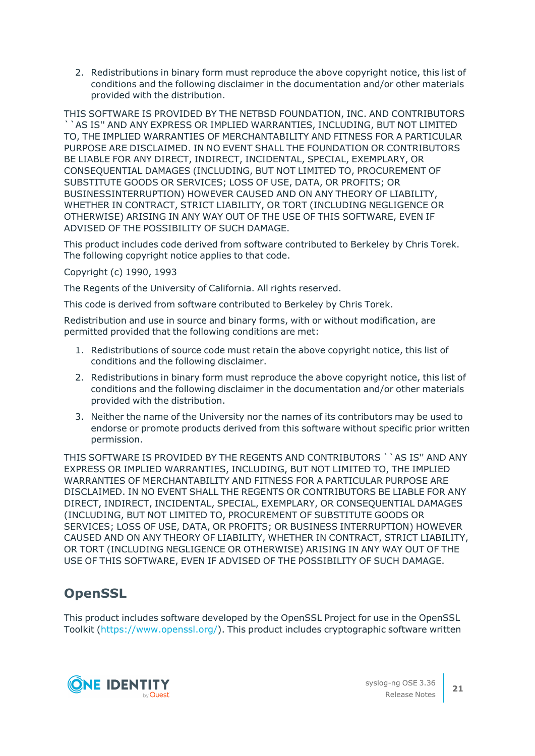2. Redistributions in binary form must reproduce the above copyright notice, this list of conditions and the following disclaimer in the documentation and/or other materials provided with the distribution.

THIS SOFTWARE IS PROVIDED BY THE NETBSD FOUNDATION, INC. AND CONTRIBUTORS ``AS IS'' AND ANY EXPRESS OR IMPLIED WARRANTIES, INCLUDING, BUT NOT LIMITED TO, THE IMPLIED WARRANTIES OF MERCHANTABILITY AND FITNESS FOR A PARTICULAR PURPOSE ARE DISCLAIMED. IN NO EVENT SHALL THE FOUNDATION OR CONTRIBUTORS BE LIABLE FOR ANY DIRECT, INDIRECT, INCIDENTAL, SPECIAL, EXEMPLARY, OR CONSEQUENTIAL DAMAGES (INCLUDING, BUT NOT LIMITED TO, PROCUREMENT OF SUBSTITUTE GOODS OR SERVICES; LOSS OF USE, DATA, OR PROFITS; OR BUSINESSINTERRUPTION) HOWEVER CAUSED AND ON ANY THEORY OF LIABILITY, WHETHER IN CONTRACT, STRICT LIABILITY, OR TORT (INCLUDING NEGLIGENCE OR OTHERWISE) ARISING IN ANY WAY OUT OF THE USE OF THIS SOFTWARE, EVEN IF ADVISED OF THE POSSIBILITY OF SUCH DAMAGE.

This product includes code derived from software contributed to Berkeley by Chris Torek. The following copyright notice applies to that code.

Copyright (c) 1990, 1993

The Regents of the University of California. All rights reserved.

This code is derived from software contributed to Berkeley by Chris Torek.

Redistribution and use in source and binary forms, with or without modification, are permitted provided that the following conditions are met:

- 1. Redistributions of source code must retain the above copyright notice, this list of conditions and the following disclaimer.
- 2. Redistributions in binary form must reproduce the above copyright notice, this list of conditions and the following disclaimer in the documentation and/or other materials provided with the distribution.
- 3. Neither the name of the University nor the names of its contributors may be used to endorse or promote products derived from this software without specific prior written permission.

THIS SOFTWARE IS PROVIDED BY THE REGENTS AND CONTRIBUTORS ``AS IS" AND ANY EXPRESS OR IMPLIED WARRANTIES, INCLUDING, BUT NOT LIMITED TO, THE IMPLIED WARRANTIES OF MERCHANTABILITY AND FITNESS FOR A PARTICULAR PURPOSE ARE DISCLAIMED. IN NO EVENT SHALL THE REGENTS OR CONTRIBUTORS BE LIABLE FOR ANY DIRECT, INDIRECT, INCIDENTAL, SPECIAL, EXEMPLARY, OR CONSEQUENTIAL DAMAGES (INCLUDING, BUT NOT LIMITED TO, PROCUREMENT OF SUBSTITUTE GOODS OR SERVICES; LOSS OF USE, DATA, OR PROFITS; OR BUSINESS INTERRUPTION) HOWEVER CAUSED AND ON ANY THEORY OF LIABILITY, WHETHER IN CONTRACT, STRICT LIABILITY, OR TORT (INCLUDING NEGLIGENCE OR OTHERWISE) ARISING IN ANY WAY OUT OF THE USE OF THIS SOFTWARE, EVEN IF ADVISED OF THE POSSIBILITY OF SUCH DAMAGE.

### **OpenSSL**

This product includes software developed by the OpenSSL Project for use in the OpenSSL Toolkit [\(https://www.openssl.org/](https://www.openssl.org/)). This product includes cryptographic software written

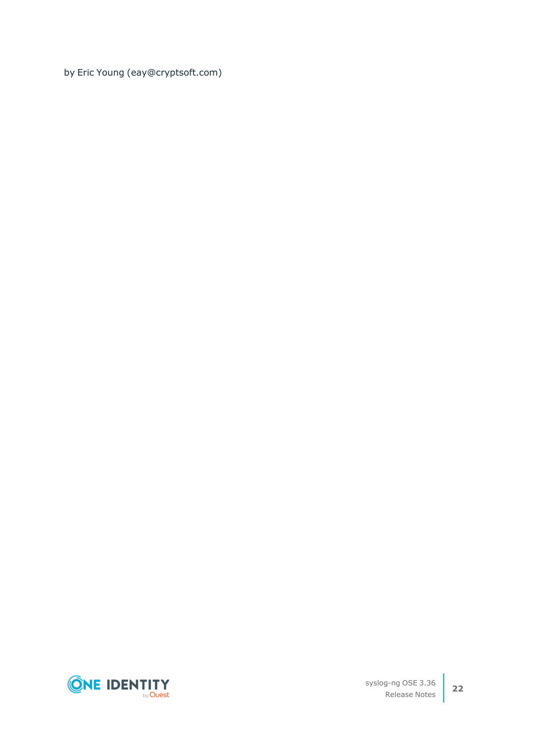by Eric Young (eay@cryptsoft.com)